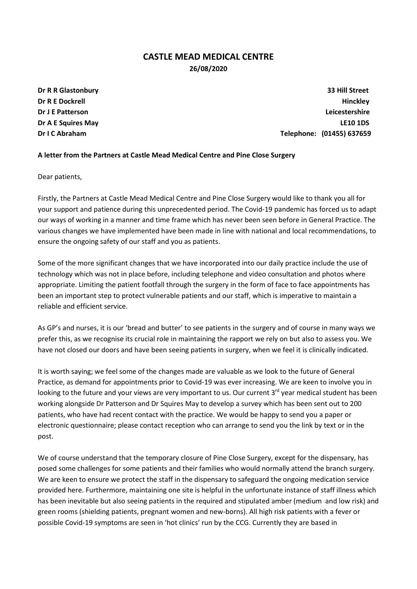## CASTLE MEAD MEDICAL CENTRE 26/08/2020

Dr R R Glastonbury 33 Hill Street Dr R E Dockrell Hinckley Dr J E Patterson Leicestershire Dr A E Squires May LE10 1DS Dr I C Abraham Telephone: (01455) 637659

## A letter from the Partners at Castle Mead Medical Centre and Pine Close Surgery

Dear patients,

Firstly, the Partners at Castle Mead Medical Centre and Pine Close Surgery would like to thank you all for your support and patience during this unprecedented period. The Covid-19 pandemic has forced us to adapt our ways of working in a manner and time frame which has never been seen before in General Practice. The various changes we have implemented have been made in line with national and local recommendations, to ensure the ongoing safety of our staff and you as patients.

Some of the more significant changes that we have incorporated into our daily practice include the use of technology which was not in place before, including telephone and video consultation and photos where appropriate. Limiting the patient footfall through the surgery in the form of face to face appointments has been an important step to protect vulnerable patients and our staff, which is imperative to maintain a reliable and efficient service.

As GP's and nurses, it is our 'bread and butter' to see patients in the surgery and of course in many ways we prefer this, as we recognise its crucial role in maintaining the rapport we rely on but also to assess you. We have not closed our doors and have been seeing patients in surgery, when we feel it is clinically indicated.

It is worth saying; we feel some of the changes made are valuable as we look to the future of General Practice, as demand for appointments prior to Covid-19 was ever increasing. We are keen to involve you in looking to the future and your views are very important to us. Our current  $3^{rd}$  year medical student has been working alongside Dr Patterson and Dr Squires May to develop a survey which has been sent out to 200 patients, who have had recent contact with the practice. We would be happy to send you a paper or electronic questionnaire; please contact reception who can arrange to send you the link by text or in the post.

We of course understand that the temporary closure of Pine Close Surgery, except for the dispensary, has posed some challenges for some patients and their families who would normally attend the branch surgery. We are keen to ensure we protect the staff in the dispensary to safeguard the ongoing medication service provided here. Furthermore, maintaining one site is helpful in the unfortunate instance of staff illness which has been inevitable but also seeing patients in the required and stipulated amber (medium and low risk) and green rooms (shielding patients, pregnant women and new-borns). All high risk patients with a fever or possible Covid-19 symptoms are seen in 'hot clinics' run by the CCG. Currently they are based in